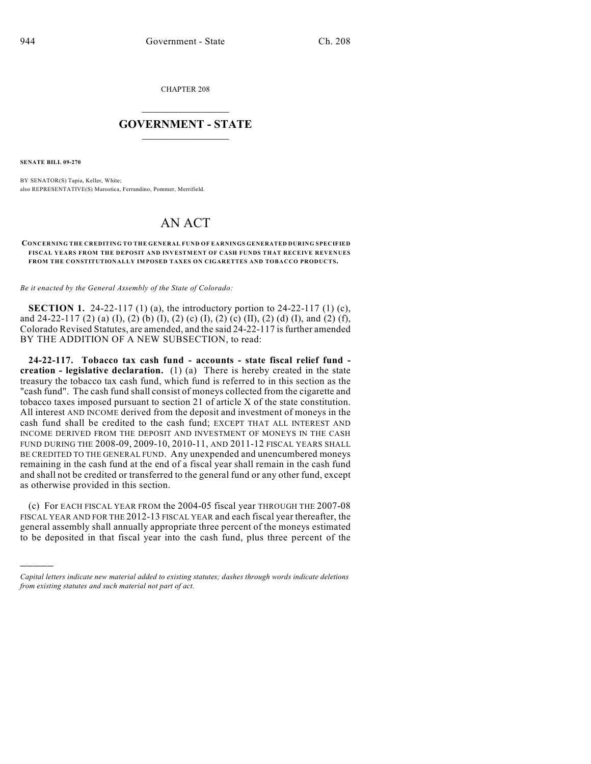CHAPTER 208

## $\mathcal{L}_\text{max}$  . The set of the set of the set of the set of the set of the set of the set of the set of the set of the set of the set of the set of the set of the set of the set of the set of the set of the set of the set **GOVERNMENT - STATE**  $\_$   $\_$   $\_$   $\_$   $\_$   $\_$   $\_$   $\_$

**SENATE BILL 09-270**

)))))

BY SENATOR(S) Tapia, Keller, White; also REPRESENTATIVE(S) Marostica, Ferrandino, Pommer, Merrifield.

## AN ACT

## **CONCERNING THE CREDITING TO THE GENERAL FUND OF EARNINGS GENERATED DURING SPECIFIED FISCAL YEARS FROM THE DEPOSIT AND INVESTMENT OF CASH FUNDS THAT RECEIVE REVENUES FROM THE CONSTITUTIONALLY IMPOSED TAXES ON CIGARETTES AND TOBACCO PRODUCTS.**

*Be it enacted by the General Assembly of the State of Colorado:*

**SECTION 1.** 24-22-117 (1) (a), the introductory portion to 24-22-117 (1) (c), and 24-22-117 (2) (a) (I), (2) (b) (I), (2) (c) (I), (2) (c) (II), (2) (d) (I), and (2) (f), Colorado Revised Statutes, are amended, and the said 24-22-117 is further amended BY THE ADDITION OF A NEW SUBSECTION, to read:

**24-22-117. Tobacco tax cash fund - accounts - state fiscal relief fund creation - legislative declaration.** (1) (a) There is hereby created in the state treasury the tobacco tax cash fund, which fund is referred to in this section as the "cash fund". The cash fund shall consist of moneys collected from the cigarette and tobacco taxes imposed pursuant to section 21 of article X of the state constitution. All interest AND INCOME derived from the deposit and investment of moneys in the cash fund shall be credited to the cash fund; EXCEPT THAT ALL INTEREST AND INCOME DERIVED FROM THE DEPOSIT AND INVESTMENT OF MONEYS IN THE CASH FUND DURING THE 2008-09, 2009-10, 2010-11, AND 2011-12 FISCAL YEARS SHALL BE CREDITED TO THE GENERAL FUND. Any unexpended and unencumbered moneys remaining in the cash fund at the end of a fiscal year shall remain in the cash fund and shall not be credited or transferred to the general fund or any other fund, except as otherwise provided in this section.

(c) For EACH FISCAL YEAR FROM the 2004-05 fiscal year THROUGH THE 2007-08 FISCAL YEAR AND FOR THE 2012-13 FISCAL YEAR and each fiscal year thereafter, the general assembly shall annually appropriate three percent of the moneys estimated to be deposited in that fiscal year into the cash fund, plus three percent of the

*Capital letters indicate new material added to existing statutes; dashes through words indicate deletions from existing statutes and such material not part of act.*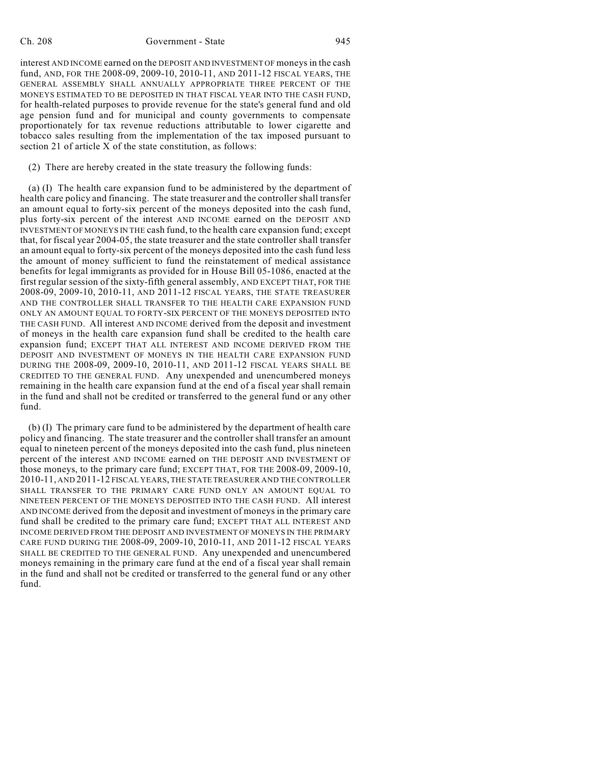## Ch. 208 Government - State 945

interest AND INCOME earned on the DEPOSIT AND INVESTMENT OF moneys in the cash fund, AND, FOR THE 2008-09, 2009-10, 2010-11, AND 2011-12 FISCAL YEARS, THE GENERAL ASSEMBLY SHALL ANNUALLY APPROPRIATE THREE PERCENT OF THE MONEYS ESTIMATED TO BE DEPOSITED IN THAT FISCAL YEAR INTO THE CASH FUND, for health-related purposes to provide revenue for the state's general fund and old age pension fund and for municipal and county governments to compensate proportionately for tax revenue reductions attributable to lower cigarette and tobacco sales resulting from the implementation of the tax imposed pursuant to section 21 of article X of the state constitution, as follows:

(2) There are hereby created in the state treasury the following funds:

(a) (I) The health care expansion fund to be administered by the department of health care policy and financing. The state treasurer and the controller shall transfer an amount equal to forty-six percent of the moneys deposited into the cash fund, plus forty-six percent of the interest AND INCOME earned on the DEPOSIT AND INVESTMENT OF MONEYS IN THE cash fund, to the health care expansion fund; except that, for fiscal year 2004-05, the state treasurer and the state controller shall transfer an amount equal to forty-six percent of the moneys deposited into the cash fund less the amount of money sufficient to fund the reinstatement of medical assistance benefits for legal immigrants as provided for in House Bill 05-1086, enacted at the first regular session of the sixty-fifth general assembly, AND EXCEPT THAT, FOR THE 2008-09, 2009-10, 2010-11, AND 2011-12 FISCAL YEARS, THE STATE TREASURER AND THE CONTROLLER SHALL TRANSFER TO THE HEALTH CARE EXPANSION FUND ONLY AN AMOUNT EQUAL TO FORTY-SIX PERCENT OF THE MONEYS DEPOSITED INTO THE CASH FUND. All interest AND INCOME derived from the deposit and investment of moneys in the health care expansion fund shall be credited to the health care expansion fund; EXCEPT THAT ALL INTEREST AND INCOME DERIVED FROM THE DEPOSIT AND INVESTMENT OF MONEYS IN THE HEALTH CARE EXPANSION FUND DURING THE 2008-09, 2009-10, 2010-11, AND 2011-12 FISCAL YEARS SHALL BE CREDITED TO THE GENERAL FUND. Any unexpended and unencumbered moneys remaining in the health care expansion fund at the end of a fiscal year shall remain in the fund and shall not be credited or transferred to the general fund or any other fund.

(b) (I) The primary care fund to be administered by the department of health care policy and financing. The state treasurer and the controllershall transfer an amount equal to nineteen percent of the moneys deposited into the cash fund, plus nineteen percent of the interest AND INCOME earned on THE DEPOSIT AND INVESTMENT OF those moneys, to the primary care fund; EXCEPT THAT, FOR THE 2008-09, 2009-10, 2010-11, AND 2011-12 FISCAL YEARS, THE STATE TREASURER AND THE CONTROLLER SHALL TRANSFER TO THE PRIMARY CARE FUND ONLY AN AMOUNT EQUAL TO NINETEEN PERCENT OF THE MONEYS DEPOSITED INTO THE CASH FUND. All interest AND INCOME derived from the deposit and investment of moneys in the primary care fund shall be credited to the primary care fund; EXCEPT THAT ALL INTEREST AND INCOME DERIVED FROM THE DEPOSIT AND INVESTMENT OF MONEYS IN THE PRIMARY CARE FUND DURING THE 2008-09, 2009-10, 2010-11, AND 2011-12 FISCAL YEARS SHALL BE CREDITED TO THE GENERAL FUND. Any unexpended and unencumbered moneys remaining in the primary care fund at the end of a fiscal year shall remain in the fund and shall not be credited or transferred to the general fund or any other fund.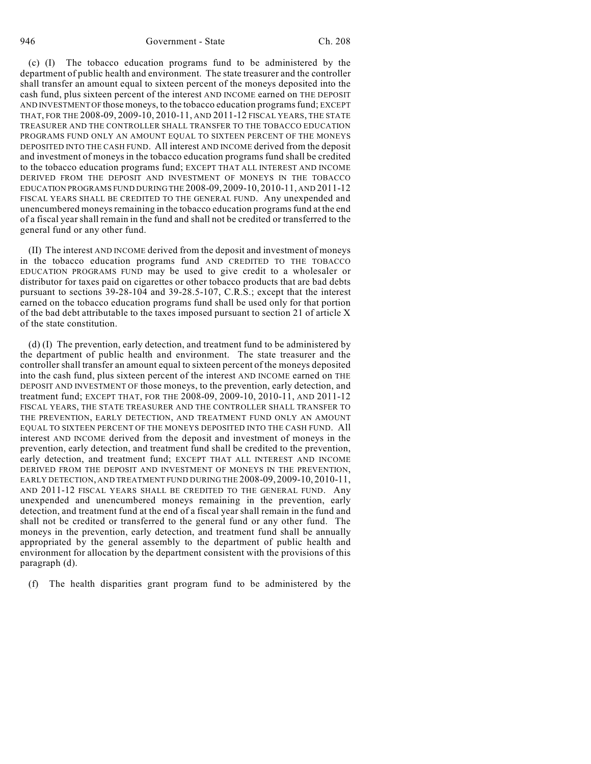(c) (I) The tobacco education programs fund to be administered by the department of public health and environment. The state treasurer and the controller shall transfer an amount equal to sixteen percent of the moneys deposited into the cash fund, plus sixteen percent of the interest AND INCOME earned on THE DEPOSIT AND INVESTMENT OF those moneys, to the tobacco education programs fund; EXCEPT THAT, FOR THE 2008-09, 2009-10, 2010-11, AND 2011-12 FISCAL YEARS, THE STATE TREASURER AND THE CONTROLLER SHALL TRANSFER TO THE TOBACCO EDUCATION PROGRAMS FUND ONLY AN AMOUNT EQUAL TO SIXTEEN PERCENT OF THE MONEYS DEPOSITED INTO THE CASH FUND. All interest AND INCOME derived from the deposit and investment of moneys in the tobacco education programs fund shall be credited to the tobacco education programs fund; EXCEPT THAT ALL INTEREST AND INCOME DERIVED FROM THE DEPOSIT AND INVESTMENT OF MONEYS IN THE TOBACCO EDUCATION PROGRAMS FUND DURING THE 2008-09, 2009-10, 2010-11, AND 2011-12 FISCAL YEARS SHALL BE CREDITED TO THE GENERAL FUND. Any unexpended and unencumbered moneys remaining in the tobacco education programs fund at the end of a fiscal year shall remain in the fund and shall not be credited or transferred to the general fund or any other fund.

(II) The interest AND INCOME derived from the deposit and investment of moneys in the tobacco education programs fund AND CREDITED TO THE TOBACCO EDUCATION PROGRAMS FUND may be used to give credit to a wholesaler or distributor for taxes paid on cigarettes or other tobacco products that are bad debts pursuant to sections 39-28-104 and 39-28.5-107, C.R.S.; except that the interest earned on the tobacco education programs fund shall be used only for that portion of the bad debt attributable to the taxes imposed pursuant to section 21 of article X of the state constitution.

(d) (I) The prevention, early detection, and treatment fund to be administered by the department of public health and environment. The state treasurer and the controller shall transfer an amount equal to sixteen percent of the moneys deposited into the cash fund, plus sixteen percent of the interest AND INCOME earned on THE DEPOSIT AND INVESTMENT OF those moneys, to the prevention, early detection, and treatment fund; EXCEPT THAT, FOR THE 2008-09, 2009-10, 2010-11, AND 2011-12 FISCAL YEARS, THE STATE TREASURER AND THE CONTROLLER SHALL TRANSFER TO THE PREVENTION, EARLY DETECTION, AND TREATMENT FUND ONLY AN AMOUNT EQUAL TO SIXTEEN PERCENT OF THE MONEYS DEPOSITED INTO THE CASH FUND. All interest AND INCOME derived from the deposit and investment of moneys in the prevention, early detection, and treatment fund shall be credited to the prevention, early detection, and treatment fund; EXCEPT THAT ALL INTEREST AND INCOME DERIVED FROM THE DEPOSIT AND INVESTMENT OF MONEYS IN THE PREVENTION, EARLY DETECTION, AND TREATMENT FUND DURING THE 2008-09, 2009-10, 2010-11, AND 2011-12 FISCAL YEARS SHALL BE CREDITED TO THE GENERAL FUND. Any unexpended and unencumbered moneys remaining in the prevention, early detection, and treatment fund at the end of a fiscal year shall remain in the fund and shall not be credited or transferred to the general fund or any other fund. The moneys in the prevention, early detection, and treatment fund shall be annually appropriated by the general assembly to the department of public health and environment for allocation by the department consistent with the provisions of this paragraph (d).

(f) The health disparities grant program fund to be administered by the